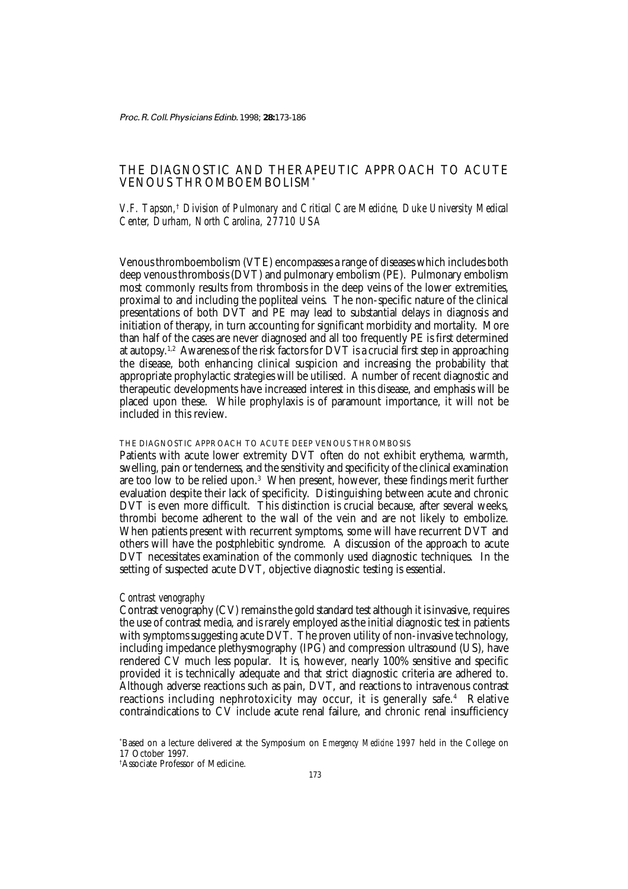Proc. R. Coll. Physicians Edinb. 1998; **28:**173-186

# THE DIAGNOSTIC AND THERAPEUTIC APPROACH TO ACUTE VENOUS THROMBOEMBOLISM\*

## *V.F. Tapson,*†  *Division of Pulmonary and Critical Care Medicine, Duke University Medical Center, Durham, North Carolina, 27710 USA*

Venous thromboembolism (VTE) encompasses a range of diseases which includes both deep venous thrombosis (DVT) and pulmonary embolism (PE). Pulmonary embolism most commonly results from thrombosis in the deep veins of the lower extremities, proximal to and including the popliteal veins. The non-specific nature of the clinical presentations of both DVT and PE may lead to substantial delays in diagnosis and initiation of therapy, in turn accounting for significant morbidity and mortality. More than half of the cases are never diagnosed and all too frequently PE is first determined at autopsy.<sup>1,2</sup> Awareness of the risk factors for DVT is a crucial first step in approaching the disease, both enhancing clinical suspicion and increasing the probability that appropriate prophylactic strategies will be utilised. A number of recent diagnostic and therapeutic developments have increased interest in this disease, and emphasis will be placed upon these. While prophylaxis is of paramount importance, it will not be included in this review.

### THE DIAGNOSTIC APPROACH TO ACUTE DEEP VENOUS THROMBOSIS

Patients with acute lower extremity DVT often do not exhibit erythema, warmth, swelling, pain or tenderness, and the sensitivity and specificity of the clinical examination are too low to be relied upon.<sup>3</sup> When present, however, these findings merit further evaluation despite their lack of specificity. Distinguishing between acute and chronic DVT is even more difficult. This distinction is crucial because, after several weeks, thrombi become adherent to the wall of the vein and are not likely to embolize. When patients present with recurrent symptoms, some will have recurrent DVT and others will have the postphlebitic syndrome. A discussion of the approach to acute DVT necessitates examination of the commonly used diagnostic techniques. In the setting of suspected acute DVT, objective diagnostic testing is essential.

## *Contrast venography*

Contrast venography (CV) remains the gold standard test although it is invasive, requires the use of contrast media, and is rarely employed as the initial diagnostic test in patients with symptoms suggesting acute DVT. The proven utility of non-invasive technology, including impedance plethysmography (IPG) and compression ultrasound (US), have rendered CV much less popular. It is, however, nearly 100% sensitive and specific provided it is technically adequate and that strict diagnostic criteria are adhered to. Although adverse reactions such as pain, DVT, and reactions to intravenous contrast reactions including nephrotoxicity may occur, it is generally safe.4 Relative contraindications to CV include acute renal failure, and chronic renal insufficiency

<sup>\*</sup> Based on a lecture delivered at the Symposium on *Emergency Medicine 1997* held in the College on 17 October 1997.

<sup>†</sup> Associate Professor of Medicine.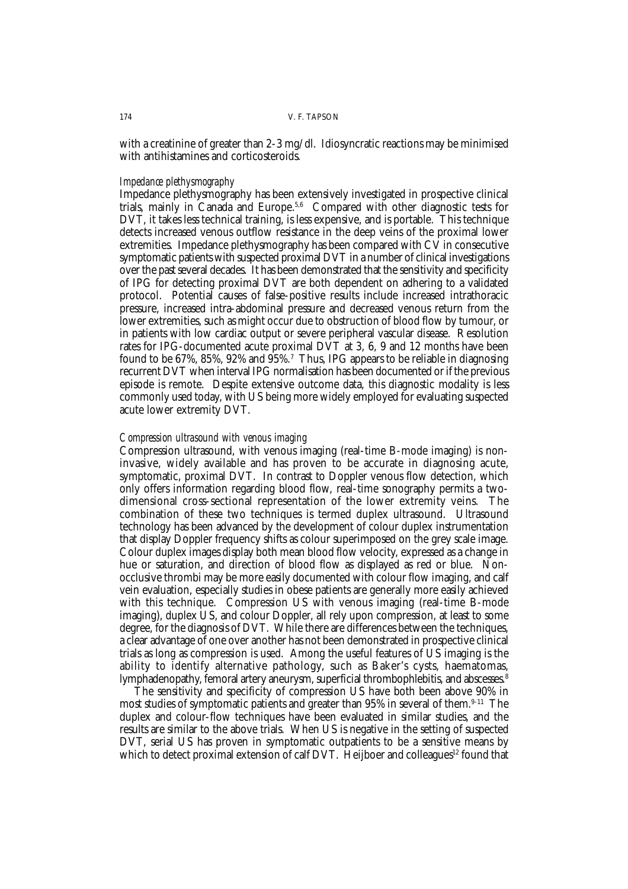with a creatinine of greater than 2-3 mg/dl. Idiosyncratic reactions may be minimised with antihistamines and corticosteroids.

## *Impedance plethysmography*

Impedance plethysmography has been extensively investigated in prospective clinical trials, mainly in Canada and Europe.<sup>5,6</sup> Compared with other diagnostic tests for DVT, it takes less technical training, is less expensive, and is portable. This technique detects increased venous outflow resistance in the deep veins of the proximal lower extremities. Impedance plethysmography has been compared with CV in consecutive symptomatic patients with suspected proximal DVT in a number of clinical investigations over the past several decades. It has been demonstrated that the sensitivity and specificity of IPG for detecting proximal DVT are both dependent on adhering to a validated protocol. Potential causes of false-positive results include increased intrathoracic pressure, increased intra-abdominal pressure and decreased venous return from the lower extremities, such as might occur due to obstruction of blood flow by tumour, or in patients with low cardiac output or severe peripheral vascular disease. Resolution rates for IPG-documented acute proximal DVT at 3, 6, 9 and 12 months have been found to be 67%, 85%, 92% and 95%. $^7\,$  Thus, IPG appears to be reliable in diagnosing recurrent DVT when interval IPG normalisation has been documented or if the previous episode is remote. Despite extensive outcome data, this diagnostic modality is less commonly used today, with US being more widely employed for evaluating suspected acute lower extremity DVT.

### *Compression ultrasound with venous imaging*

Compression ultrasound, with venous imaging (real-time B-mode imaging) is noninvasive, widely available and has proven to be accurate in diagnosing acute, symptomatic, proximal DVT. In contrast to Doppler venous flow detection, which only offers information regarding blood flow, real-time sonography permits a twodimensional cross-sectional representation of the lower extremity veins. The combination of these two techniques is termed duplex ultrasound. Ultrasound technology has been advanced by the development of colour duplex instrumentation that display Doppler frequency shifts as colour superimposed on the grey scale image. Colour duplex images display both mean blood flow velocity, expressed as a change in hue or saturation, and direction of blood flow as displayed as red or blue. Nonocclusive thrombi may be more easily documented with colour flow imaging, and calf vein evaluation, especially studies in obese patients are generally more easily achieved with this technique. Compression US with venous imaging (real-time B-mode imaging), duplex US, and colour Doppler, all rely upon compression, at least to some degree, for the diagnosis of DVT. While there are differences between the techniques, a clear advantage of one over another has not been demonstrated in prospective clinical trials as long as compression is used. Among the useful features of US imaging is the ability to identify alternative pathology, such as Baker's cysts, haematomas, lymphadenopathy, femoral artery aneurysm, superficial thrombophlebitis, and abscesses.<sup>8</sup>

The sensitivity and specificity of compression US have both been above 90% in most studies of symptomatic patients and greater than 95% in several of them.<sup>9-11</sup> The duplex and colour-flow techniques have been evaluated in similar studies, and the results are similar to the above trials. When US is negative in the setting of suspected DVT, serial US has proven in symptomatic outpatients to be a sensitive means by which to detect proximal extension of calf DVT. Heijboer and colleagues<sup>12</sup> found that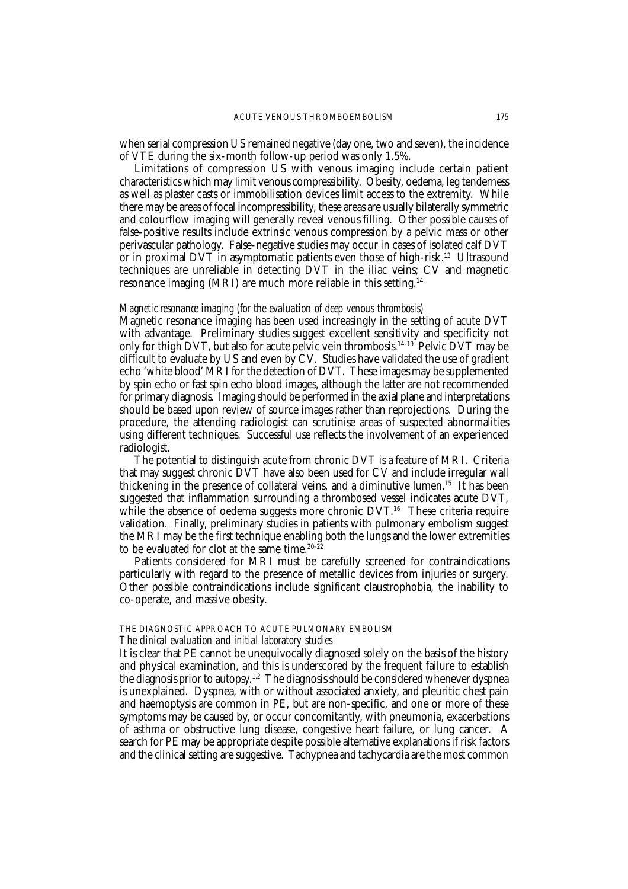when serial compression US remained negative (day one, two and seven), the incidence of VTE during the six-month follow-up period was only 1.5%.

Limitations of compression US with venous imaging include certain patient characteristics which may limit venous compressibility. Obesity, oedema, leg tenderness as well as plaster casts or immobilisation devices limit access to the extremity. While there may be areas of focal incompressibility, these areas are usually bilaterally symmetric and colourflow imaging will generally reveal venous filling. Other possible causes of false-positive results include extrinsic venous compression by a pelvic mass or other perivascular pathology. False-negative studies may occur in cases of isolated calf DVT or in proximal DVT in asymptomatic patients even those of high-risk.13 Ultrasound techniques are unreliable in detecting DVT in the iliac veins; CV and magnetic resonance imaging (MRI) are much more reliable in this setting.14

## *Magnetic resonance imaging (for the evaluation of deep venous thrombosis)*

Magnetic resonance imaging has been used increasingly in the setting of acute DVT with advantage. Preliminary studies suggest excellent sensitivity and specificity not only for thigh DVT, but also for acute pelvic vein thrombosis.<sup>14-19</sup> Pelvic DVT may be difficult to evaluate by US and even by CV. Studies have validated the use of gradient echo 'white blood' MRI for the detection of DVT. These images may be supplemented by spin echo or fast spin echo blood images, although the latter are not recommended for primary diagnosis. Imaging should be performed in the axial plane and interpretations should be based upon review of source images rather than reprojections. During the procedure, the attending radiologist can scrutinise areas of suspected abnormalities using different techniques. Successful use reflects the involvement of an experienced radiologist.

The potential to distinguish acute from chronic DVT is a feature of MRI. Criteria that may suggest chronic DVT have also been used for CV and include irregular wall thickening in the presence of collateral veins, and a diminutive lumen.15 It has been suggested that inflammation surrounding a thrombosed vessel indicates acute DVT, while the absence of oedema suggests more chronic DVT.<sup>16</sup> These criteria require validation. Finally, preliminary studies in patients with pulmonary embolism suggest the MRI may be the first technique enabling both the lungs and the lower extremities to be evaluated for clot at the same time.<sup>20-22</sup>

Patients considered for MRI must be carefully screened for contraindications particularly with regard to the presence of metallic devices from injuries or surgery. Other possible contraindications include significant claustrophobia, the inability to co-operate, and massive obesity.

## THE DIAGNOSTIC APPROACH TO ACUTE PULMONARY EMBOLISM *The clinical evaluation and initial laboratory studies*

It is clear that PE cannot be unequivocally diagnosed solely on the basis of the history and physical examination, and this is underscored by the frequent failure to establish the diagnosis prior to autopsy.<sup>1,2</sup> The diagnosis should be considered whenever dyspnea is unexplained. Dyspnea, with or without associated anxiety, and pleuritic chest pain and haemoptysis are common in PE, but are non-specific, and one or more of these symptoms may be caused by, or occur concomitantly, with pneumonia, exacerbations of asthma or obstructive lung disease, congestive heart failure, or lung cancer. A search for PE may be appropriate despite possible alternative explanations if risk factors and the clinical setting are suggestive. Tachypnea and tachycardia are the most common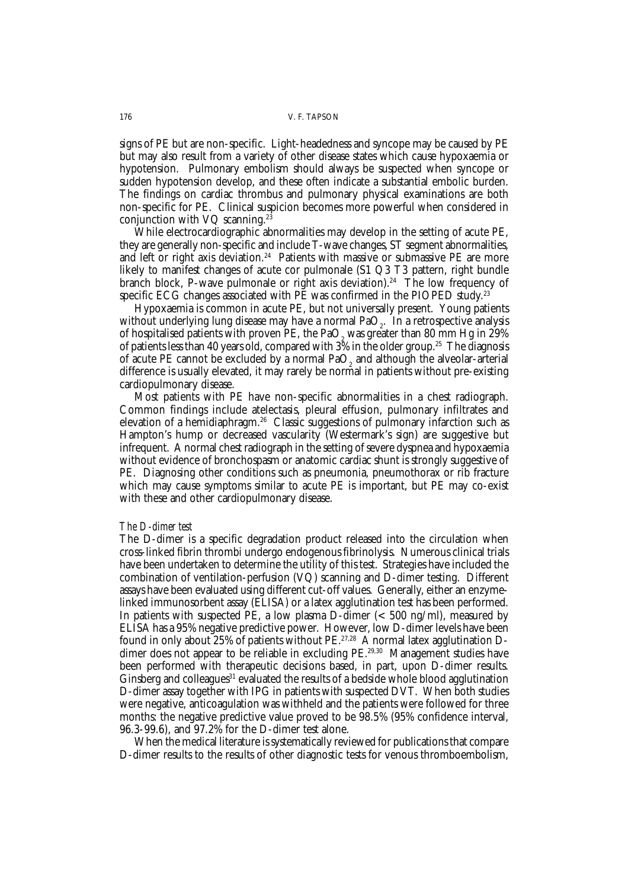signs of PE but are non-specific. Light-headedness and syncope may be caused by PE but may also result from a variety of other disease states which cause hypoxaemia or hypotension. Pulmonary embolism should always be suspected when syncope or sudden hypotension develop, and these often indicate a substantial embolic burden. The findings on cardiac thrombus and pulmonary physical examinations are both non-specific for PE. Clinical suspicion becomes more powerful when considered in conjunction with VQ scanning.<sup>23</sup>

While electrocardiographic abnormalities may develop in the setting of acute PE, they are generally non-specific and include T-wave changes, ST segment abnormalities, and left or right axis deviation.<sup>24</sup> Patients with massive or submassive PE are more likely to manifest changes of acute cor pulmonale (S1 Q3 T3 pattern, right bundle branch block, P-wave pulmonale or right axis deviation).<sup>24</sup> The low frequency of specific ECG changes associated with PE was confirmed in the PIOPED study.<sup>23</sup>

Hypoxaemia is common in acute PE, but not universally present. Young patients without underlying lung disease may have a normal  $PaO<sub>2</sub>$ . In a retrospective analysis of hospitalised patients with proven PE, the PaO<sub>2</sub> was greater than 80 mm Hg in 29% of patients less than 40 years old, compared with  $3\%$  in the older group.<sup>25</sup> The diagnosis of acute PE cannot be excluded by a normal  $PaO<sub>2</sub>$  and although the alveolar-arterial difference is usually elevated, it may rarely be normal in patients without pre-existing cardiopulmonary disease.

Most patients with PE have non-specific abnormalities in a chest radiograph. Common findings include atelectasis, pleural effusion, pulmonary infiltrates and elevation of a hemidiaphragm.26 Classic suggestions of pulmonary infarction such as Hampton's hump or decreased vascularity (Westermark's sign) are suggestive but infrequent. A normal chest radiograph in the setting of severe dyspnea and hypoxaemia without evidence of bronchospasm or anatomic cardiac shunt is strongly suggestive of PE. Diagnosing other conditions such as pneumonia, pneumothorax or rib fracture which may cause symptoms similar to acute PE is important, but PE may co-exist with these and other cardiopulmonary disease.

### *The D-dimer test*

The D-dimer is a specific degradation product released into the circulation when cross-linked fibrin thrombi undergo endogenous fibrinolysis. Numerous clinical trials have been undertaken to determine the utility of this test. Strategies have included the combination of ventilation-perfusion (VQ) scanning and D-dimer testing. Different assays have been evaluated using different cut-off values. Generally, either an enzymelinked immunosorbent assay (ELISA) or a latex agglutination test has been performed. In patients with suspected PE, a low plasma D-dimer ( $<$  500 ng/ml), measured by ELISA has a 95% negative predictive power. However, low D-dimer levels have been found in only about 25% of patients without PE.27,28 A normal latex agglutination Ddimer does not appear to be reliable in excluding PE.<sup>29,30</sup> Management studies have been performed with therapeutic decisions based, in part, upon D-dimer results. Ginsberg and colleagues<sup>31</sup> evaluated the results of a bedside whole blood agglutination D-dimer assay together with IPG in patients with suspected DVT. When both studies were negative, anticoagulation was withheld and the patients were followed for three months: the negative predictive value proved to be 98.5% (95% confidence interval, 96.3-99.6), and 97.2% for the D-dimer test alone.

When the medical literature is systematically reviewed for publications that compare D-dimer results to the results of other diagnostic tests for venous thromboembolism,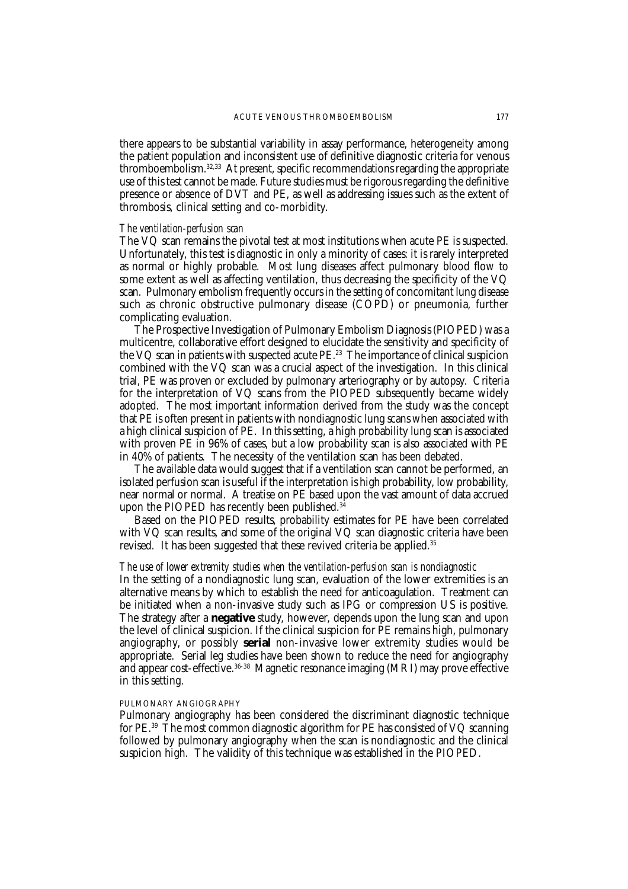there appears to be substantial variability in assay performance, heterogeneity among the patient population and inconsistent use of definitive diagnostic criteria for venous thromboembolism.32,33 At present, specific recommendations regarding the appropriate use of this test cannot be made. Future studies must be rigorous regarding the definitive presence or absence of DVT and PE, as well as addressing issues such as the extent of thrombosis, clinical setting and co-morbidity.

## *The ventilation-perfusion scan*

The VQ scan remains the pivotal test at most institutions when acute PE is suspected. Unfortunately, this test is diagnostic in only a minority of cases: it is rarely interpreted as normal or highly probable. Most lung diseases affect pulmonary blood flow to some extent as well as affecting ventilation, thus decreasing the specificity of the VQ scan. Pulmonary embolism frequently occurs in the setting of concomitant lung disease such as chronic obstructive pulmonary disease (COPD) or pneumonia, further complicating evaluation.

The Prospective Investigation of Pulmonary Embolism Diagnosis (PIOPED) was a multicentre, collaborative effort designed to elucidate the sensitivity and specificity of the VQ scan in patients with suspected acute PE.<sup>23</sup> The importance of clinical suspicion combined with the VQ scan was a crucial aspect of the investigation. In this clinical trial, PE was proven or excluded by pulmonary arteriography or by autopsy. Criteria for the interpretation of VQ scans from the PIOPED subsequently became widely adopted. The most important information derived from the study was the concept that PE is often present in patients with nondiagnostic lung scans when associated with a high clinical suspicion of PE. In this setting, a high probability lung scan is associated with proven PE in 96% of cases, but a low probability scan is also associated with PE in 40% of patients. The necessity of the ventilation scan has been debated.

The available data would suggest that if a ventilation scan cannot be performed, an isolated perfusion scan is useful if the interpretation is high probability, low probability, near normal or normal. A treatise on PE based upon the vast amount of data accrued upon the PIOPED has recently been published. $34$ 

Based on the PIOPED results, probability estimates for PE have been correlated with VQ scan results, and some of the original VQ scan diagnostic criteria have been revised. It has been suggested that these revived criteria be applied.<sup>35</sup>

## *The use of lower extremity studies when the ventilation-perfusion scan is nondiagnostic*

In the setting of a nondiagnostic lung scan, evaluation of the lower extremities is an alternative means by which to establish the need for anticoagulation. Treatment can be initiated when a non-invasive study such as IPG or compression US is positive. The strategy after a **negative** study, however, depends upon the lung scan and upon the level of clinical suspicion. If the clinical suspicion for PE remains high, pulmonary angiography, or possibly **serial** non-invasive lower extremity studies would be appropriate. Serial leg studies have been shown to reduce the need for angiography and appear cost-effective.36-38 Magnetic resonance imaging (MRI) may prove effective in this setting.

### PULMONARY ANGIOGRAPHY

Pulmonary angiography has been considered the discriminant diagnostic technique for PE.39 The most common diagnostic algorithm for PE has consisted of VQ scanning followed by pulmonary angiography when the scan is nondiagnostic and the clinical suspicion high. The validity of this technique was established in the PIOPED.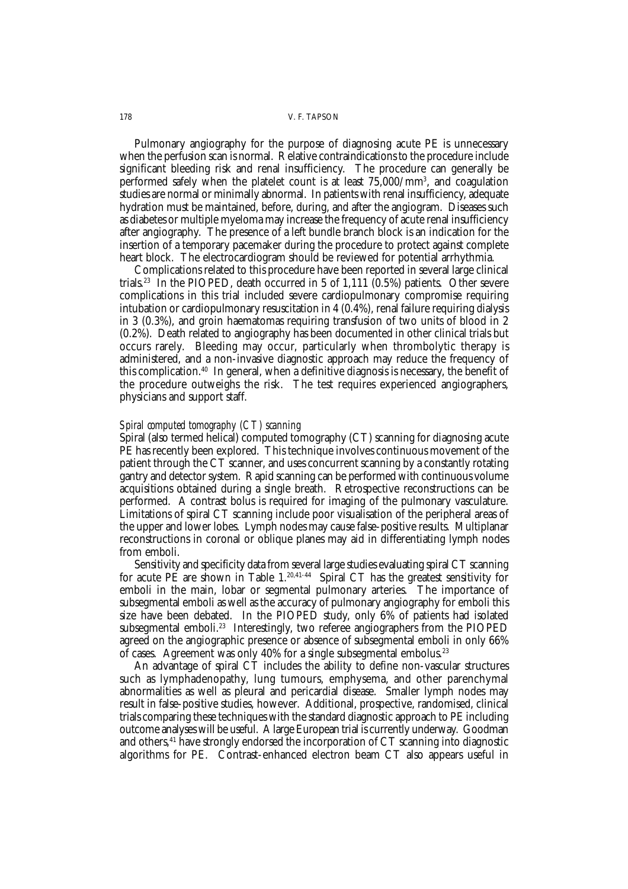#### 178 V. F. TAPSON

Pulmonary angiography for the purpose of diagnosing acute PE is unnecessary when the perfusion scan is normal. Relative contraindications to the procedure include significant bleeding risk and renal insufficiency. The procedure can generally be performed safely when the platelet count is at least 75,000/mm3 , and coagulation studies are normal or minimally abnormal. In patients with renal insufficiency, adequate hydration must be maintained, before, during, and after the angiogram. Diseases such as diabetes or multiple myeloma may increase the frequency of acute renal insufficiency after angiography. The presence of a left bundle branch block is an indication for the insertion of a temporary pacemaker during the procedure to protect against complete heart block. The electrocardiogram should be reviewed for potential arrhythmia.

Complications related to this procedure have been reported in several large clinical trials.<sup>23</sup> In the PIOPED, death occurred in 5 of 1,111  $(0.5\%)$  patients. Other severe complications in this trial included severe cardiopulmonary compromise requiring intubation or cardiopulmonary resuscitation in 4 (0.4%), renal failure requiring dialysis in 3 (0.3%), and groin haematomas requiring transfusion of two units of blood in 2 (0.2%). Death related to angiography has been documented in other clinical trials but occurs rarely. Bleeding may occur, particularly when thrombolytic therapy is administered, and a non-invasive diagnostic approach may reduce the frequency of this complication.40 In general, when a definitive diagnosis is necessary, the benefit of the procedure outweighs the risk. The test requires experienced angiographers, physicians and support staff.

## *Spiral computed tomography (CT) scanning*

Spiral (also termed helical) computed tomography (CT) scanning for diagnosing acute PE has recently been explored. This technique involves continuous movement of the patient through the CT scanner, and uses concurrent scanning by a constantly rotating gantry and detector system. Rapid scanning can be performed with continuous volume acquisitions obtained during a single breath. Retrospective reconstructions can be performed. A contrast bolus is required for imaging of the pulmonary vasculature. Limitations of spiral CT scanning include poor visualisation of the peripheral areas of the upper and lower lobes. Lymph nodes may cause false-positive results. Multiplanar reconstructions in coronal or oblique planes may aid in differentiating lymph nodes from emboli.

Sensitivity and specificity data from several large studies evaluating spiral CT scanning for acute PE are shown in Table  $1.^{20,41-44}$  Spiral CT has the greatest sensitivity for emboli in the main, lobar or segmental pulmonary arteries. The importance of subsegmental emboli as well as the accuracy of pulmonary angiography for emboli this size have been debated. In the PIOPED study, only 6% of patients had isolated subsegmental emboli.<sup>23</sup> Interestingly, two referee angiographers from the PIOPED agreed on the angiographic presence or absence of subsegmental emboli in only 66% of cases. Agreement was only 40% for a single subsegmental embolus.23

An advantage of spiral CT includes the ability to define non-vascular structures such as lymphadenopathy, lung tumours, emphysema, and other parenchymal abnormalities as well as pleural and pericardial disease. Smaller lymph nodes may result in false-positive studies, however. Additional, prospective, randomised, clinical trials comparing these techniques with the standard diagnostic approach to PE including outcome analyses will be useful. A large European trial is currently underway. Goodman and others, $41$  have strongly endorsed the incorporation of  $CT$  scanning into diagnostic algorithms for PE. Contrast-enhanced electron beam CT also appears useful in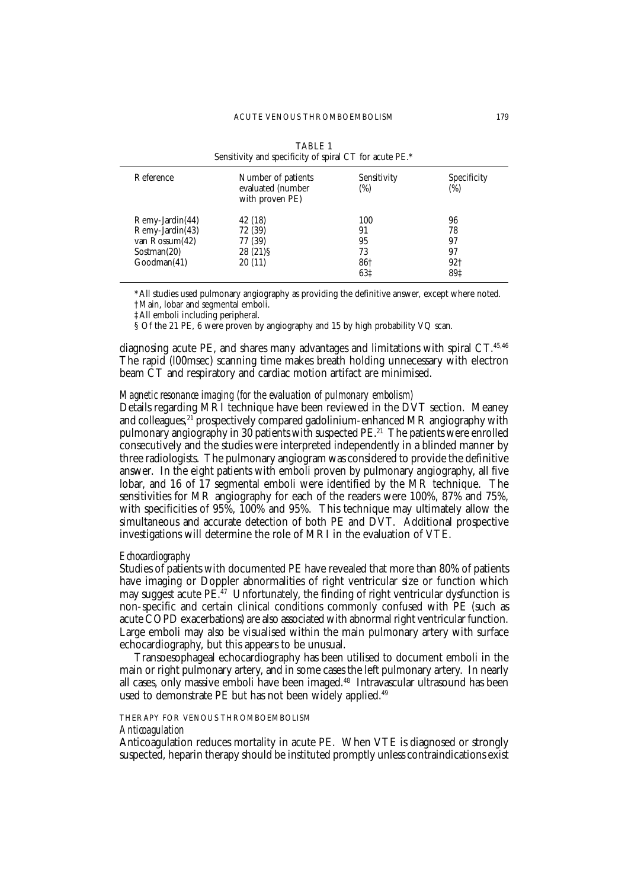| <b>TABLE 1</b><br>Sensitivity and specificity of spiral CT for acute PE.* |                                                            |                    |                           |  |
|---------------------------------------------------------------------------|------------------------------------------------------------|--------------------|---------------------------|--|
| Reference                                                                 | Number of patients<br>evaluated (number<br>with proven PE) | Sensitivity<br>(%) | <b>Specificity</b><br>(%) |  |
| Remy-Jardin(44)                                                           | 42 (18)                                                    | 100                | 96                        |  |
| Remy-Jardin(43)                                                           | 72 (39)                                                    | 91                 | 78                        |  |
| van Rossum(42)                                                            | 77 (39)                                                    | 95                 | 97                        |  |
| Sostman(20)                                                               | 28 (21) \$                                                 | 73                 | 97                        |  |
| Goodman(41)                                                               | 20(11)                                                     | 86†                | 92†                       |  |
|                                                                           |                                                            | 63‡                | 89‡                       |  |

\*All studies used pulmonary angiography as providing the definitive answer, except where noted. †Main, lobar and segmental emboli.

‡All emboli including peripheral.

§ Of the 21 PE, 6 were proven by angiography and 15 by high probability VQ scan.

diagnosing acute PE, and shares many advantages and limitations with spiral CT.<sup>45,46</sup> The rapid (l00msec) scanning time makes breath holding unnecessary with electron beam CT and respiratory and cardiac motion artifact are minimised.

## *Magnetic resonance imaging (for the evaluation of pulmonary embolism)*

Details regarding MRI technique have been reviewed in the DVT section. Meaney and colleagues,<sup>21</sup> prospectively compared gadolinium-enhanced MR angiography with pulmonary angiography in 30 patients with suspected PE.<sup>21</sup> The patients were enrolled consecutively and the studies were interpreted independently in a blinded manner by three radiologists. The pulmonary angiogram was considered to provide the definitive answer. In the eight patients with emboli proven by pulmonary angiography, all five lobar, and 16 of 17 segmental emboli were identified by the MR technique. The sensitivities for MR angiography for each of the readers were 100%, 87% and 75%, with specificities of 95%,  $100\%$  and 95%. This technique may ultimately allow the simultaneous and accurate detection of both PE and DVT. Additional prospective investigations will determine the role of MRI in the evaluation of VTE.

## *Echocardiography*

Studies of patients with documented PE have revealed that more than 80% of patients have imaging or Doppler abnormalities of right ventricular size or function which may suggest acute  $PE^{\hat{A}7}$  Unfortunately, the finding of right ventricular dysfunction is non-specific and certain clinical conditions commonly confused with PE (such as acute COPD exacerbations) are also associated with abnormal right ventricular function. Large emboli may also be visualised within the main pulmonary artery with surface echocardiography, but this appears to be unusual.

Transoesophageal echocardiography has been utilised to document emboli in the main or right pulmonary artery, and in some cases the left pulmonary artery. In nearly all cases, only massive emboli have been imaged.<sup>48</sup> Intravascular ultrasound has been used to demonstrate PE but has not been widely applied.<sup>49</sup>

## THERAPY FOR VENOUS THROMBOEMBOLISM

### *Anticoagulation*

Anticoagulation reduces mortality in acute PE. When VTE is diagnosed or strongly suspected, heparin therapy should be instituted promptly unless contraindications exist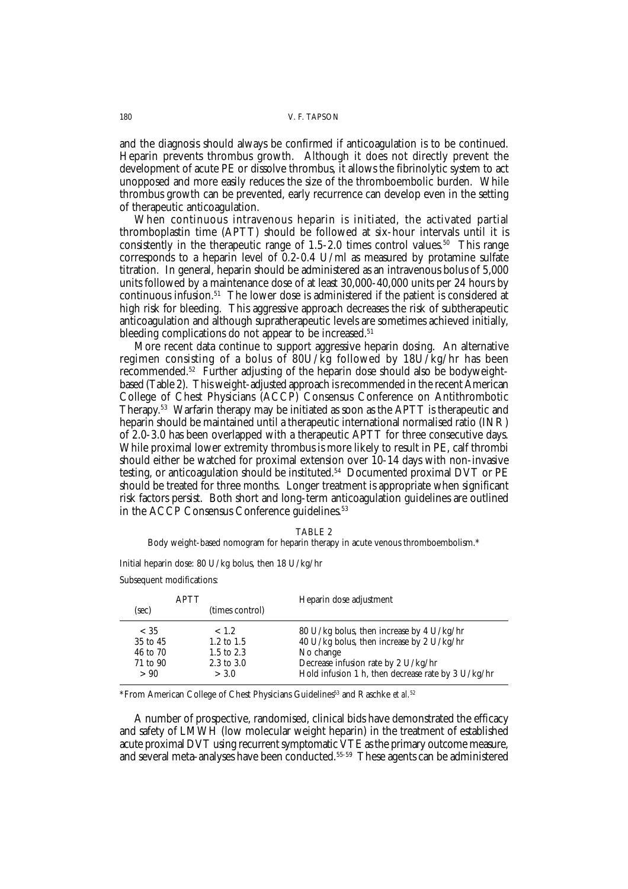and the diagnosis should always be confirmed if anticoagulation is to be continued. Heparin prevents thrombus growth. Although it does not directly prevent the development of acute PE or dissolve thrombus, it allows the fibrinolytic system to act unopposed and more easily reduces the size of the thromboembolic burden. While thrombus growth can be prevented, early recurrence can develop even in the setting of therapeutic anticoagulation.

When continuous intravenous heparin is initiated, the activated partial thromboplastin time (APTT) should be followed at six-hour intervals until it is consistently in the therapeutic range of  $1.5$ -2.0 times control values.<sup>50</sup> This range corresponds to a heparin level of 0.2-0.4 U/ml as measured by protamine sulfate titration. In general, heparin should be administered as an intravenous bolus of 5,000 units followed by a maintenance dose of at least 30,000-40,000 units per 24 hours by continuous infusion.51 The lower dose is administered if the patient is considered at high risk for bleeding. This aggressive approach decreases the risk of subtherapeutic anticoagulation and although supratherapeutic levels are sometimes achieved initially, bleeding complications do not appear to be increased.<sup>51</sup>

More recent data continue to support aggressive heparin dosing. An alternative regimen consisting of a bolus of 80U/kg followed by 18U/kg/hr has been recommended.52 Further adjusting of the heparin dose should also be bodyweightbased (Table 2). This weight-adjusted approach is recommended in the recent American College of Chest Physicians (ACCP) Consensus Conference on Antithrombotic Therapy.53 Warfarin therapy may be initiated as soon as the APTT is therapeutic and heparin should be maintained until a therapeutic international normalised ratio (INR) of 2.0-3.0 has been overlapped with a therapeutic APTT for three consecutive days. While proximal lower extremity thrombus is more likely to result in PE, calf thrombi should either be watched for proximal extension over 10-14 days with non-invasive testing, or anticoagulation should be instituted.54 Documented proximal DVT or PE should be treated for three months. Longer treatment is appropriate when significant risk factors persist. Both short and long-term anticoagulation guidelines are outlined in the ACCP Consensus Conference guidelines.<sup>53</sup>

| × |  |
|---|--|
|---|--|

Body weight-based nomogram for heparin therapy in acute venous thromboembolism.\*

Initial heparin dose: 80 U/kg bolus, then 18 U/kg/hr Subsequent modifications:

|          | <b>APTT</b>     | Heparin dose adjustment                            |  |
|----------|-----------------|----------------------------------------------------|--|
| (sec)    | (times control) |                                                    |  |
| $<$ 35   | ~< 1.2          | 80 U/kg bolus, then increase by 4 U/kg/hr          |  |
| 35 to 45 | 1.2 to $1.5$    | 40 U/kg bolus, then increase by 2 U/kg/hr          |  |
| 46 to 70 | 1.5 to 2.3      | No change                                          |  |
| 71 to 90 | 2.3 to 3.0      | Decrease infusion rate by 2 U/kg/hr                |  |
| > 90     | > 3.0           | Hold infusion 1 h, then decrease rate by 3 U/kg/hr |  |

\*From American College of Chest Physicians Guidelines<sup>53</sup> and Raschke et al.<sup>52</sup>

A number of prospective, randomised, clinical bids have demonstrated the efficacy and safety of LMWH (low molecular weight heparin) in the treatment of established acute proximal DVT using recurrent symptomatic VTE as the primary outcome measure, and several meta-analyses have been conducted.55-59 These agents can be administered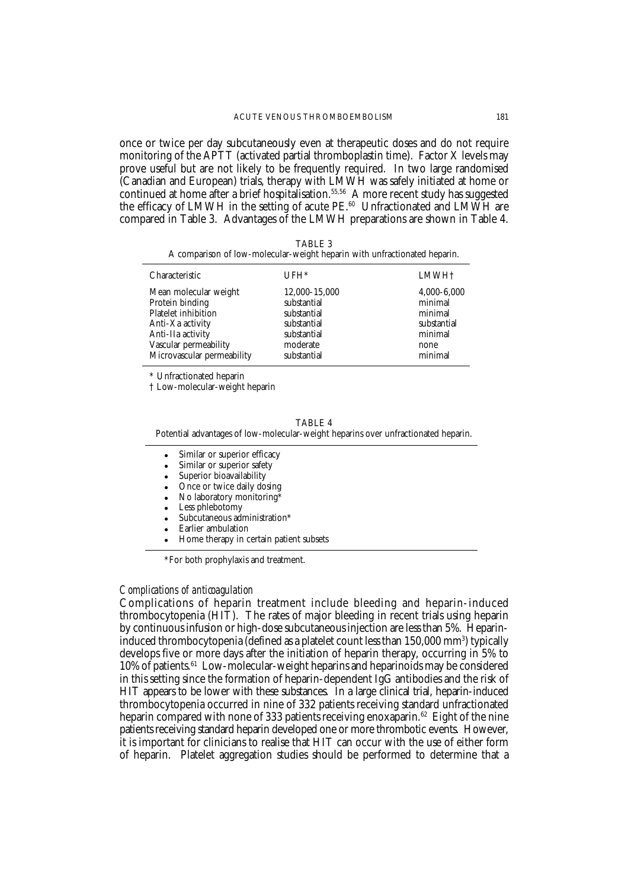once or twice per day subcutaneously even at therapeutic doses and do not require monitoring of the APTT (activated partial thromboplastin time). Factor X levels may prove useful but are not likely to be frequently required. In two large randomised (Canadian and European) trials, therapy with LMWH was safely initiated at home or continued at home after a brief hospitalisation.<sup>55,56</sup> A more recent study has suggested the efficacy of LMWH in the setting of acute PE.<sup>60</sup> Unfractionated and LMWH are compared in Table 3. Advantages of the LMWH preparations are shown in Table 4.

| ABL |
|-----|
|-----|

|  |  |  | A comparison of low-molecular-weight heparin with unfractionated heparin. |  |
|--|--|--|---------------------------------------------------------------------------|--|
|  |  |  |                                                                           |  |

| Characteristic             | $UFH*$        | LMWH <sup>+</sup> |
|----------------------------|---------------|-------------------|
| Mean molecular weight      | 12,000-15,000 | 4,000-6,000       |
| Protein binding            | substantial   | minimal           |
| <b>Platelet inhibition</b> | substantial   | minimal           |
| Anti-Xa activity           | substantial   | substantial       |
| Anti-IIa activity          | substantial   | minimal           |
| Vascular permeability      | moderate      | none              |
| Microvascular permeability | substantial   | minimal           |

\* Unfractionated heparin

† Low-molecular-weight heparin

TABLE 4

Potential advantages of low-molecular-weight heparins over unfractionated heparin.

- Similar or superior efficacy
- Similar or superior safety
- Superior bioavailability
- Once or twice daily dosing
- No laboratory monitoring\*
- Less phlebotomy
- Subcutaneous administration\*
- Earlier ambulation
- Home therapy in certain patient subsets

\*For both prophylaxis and treatment.

## *Complications of anticoagulation*

Complications of heparin treatment include bleeding and heparin-induced thrombocytopenia (HIT). The rates of major bleeding in recent trials using heparin by continuous infusion or high-dose subcutaneous injection are less than 5%. Heparininduced thrombocytopenia (defined as a platelet count less than 150,000 mm3) typically develops five or more days after the initiation of heparin therapy, occurring in 5% to 10% of patients.61 Low-molecular-weight heparins and heparinoids may be considered in this setting since the formation of heparin-dependent IgG antibodies and the risk of HIT appears to be lower with these substances. In a large clinical trial, heparin-induced thrombocytopenia occurred in nine of 332 patients receiving standard unfractionated heparin compared with none of 333 patients receiving enoxaparin.<sup>62</sup> Eight of the nine patients receiving standard heparin developed one or more thrombotic events. However, it is important for clinicians to realise that HIT can occur with the use of either form of heparin. Platelet aggregation studies should be performed to determine that a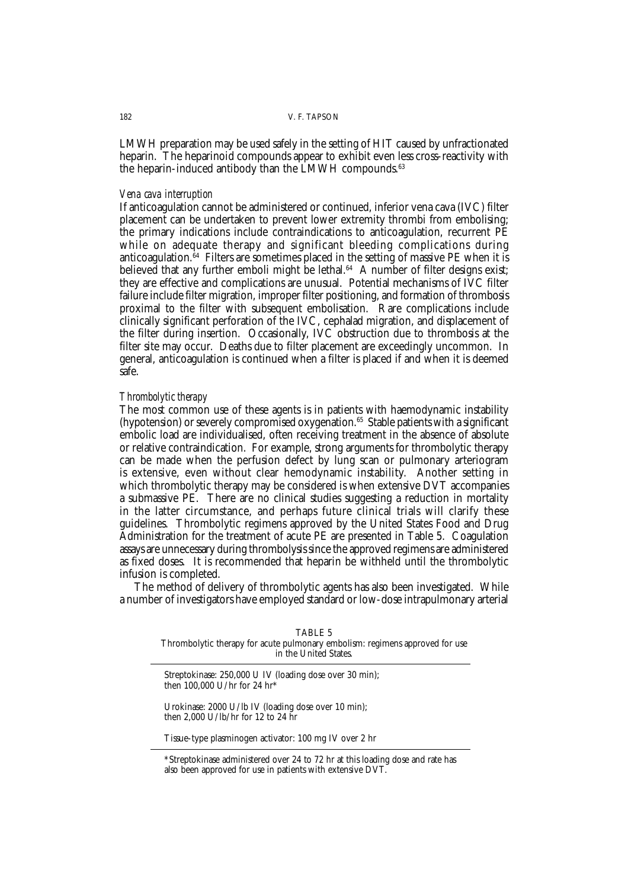LMWH preparation may be used safely in the setting of HIT caused by unfractionated heparin. The heparinoid compounds appear to exhibit even less cross-reactivity with the heparin-induced antibody than the LMWH compounds.<sup>63</sup>

#### *Vena cava interruption*

If anticoagulation cannot be administered or continued, inferior vena cava (IVC) filter placement can be undertaken to prevent lower extremity thrombi from embolising; the primary indications include contraindications to anticoagulation, recurrent PE while on adequate therapy and significant bleeding complications during anticoagulation. $64$  Filters are sometimes placed in the setting of massive PE when it is believed that any further emboli might be lethal. $64$  A number of filter designs exist; they are effective and complications are unusual. Potential mechanisms of IVC filter failure include filter migration, improper filter positioning, and formation of thrombosis proximal to the filter with subsequent embolisation. Rare complications include clinically significant perforation of the IVC, cephalad migration, and displacement of the filter during insertion. Occasionally, IVC obstruction due to thrombosis at the filter site may occur. Deaths due to filter placement are exceedingly uncommon. In general, anticoagulation is continued when a filter is placed if and when it is deemed safe.

## *Thrombolytic therapy*

The most common use of these agents is in patients with haemodynamic instability (hypotension) or severely compromised oxygenation.<sup>65</sup> Stable patients with a significant embolic load are individualised, often receiving treatment in the absence of absolute or relative contraindication. For example, strong arguments for thrombolytic therapy can be made when the perfusion defect by lung scan or pulmonary arteriogram is extensive, even without clear hemodynamic instability. Another setting in which thrombolytic therapy may be considered is when extensive DVT accompanies a submassive PE. There are no clinical studies suggesting a reduction in mortality in the latter circumstance, and perhaps future clinical trials will clarify these guidelines. Thrombolytic regimens approved by the United States Food and Drug Administration for the treatment of acute PE are presented in Table 5. Coagulation assays are unnecessary during thrombolysis since the approved regimens are administered as fixed doses. It is recommended that heparin be withheld until the thrombolytic infusion is completed.

The method of delivery of thrombolytic agents has also been investigated. While a number of investigators have employed standard or low-dose intrapulmonary arterial

| TABLE 5                                                                      |
|------------------------------------------------------------------------------|
| Thrombolytic therapy for acute pulmonary embolism: regimens approved for use |
| in the United States.                                                        |

Streptokinase: 250,000 U IV (loading dose over 30 min); then 100,000 U/hr for 24 hr\*

Urokinase: 2000 U/lb IV (loading dose over 10 min); then 2,000 U/lb/hr for 12 to 24 hr

Tissue-type plasminogen activator: 100 mg IV over 2 hr

\*Streptokinase administered over 24 to 72 hr at this loading dose and rate has also been approved for use in patients with extensive DVT.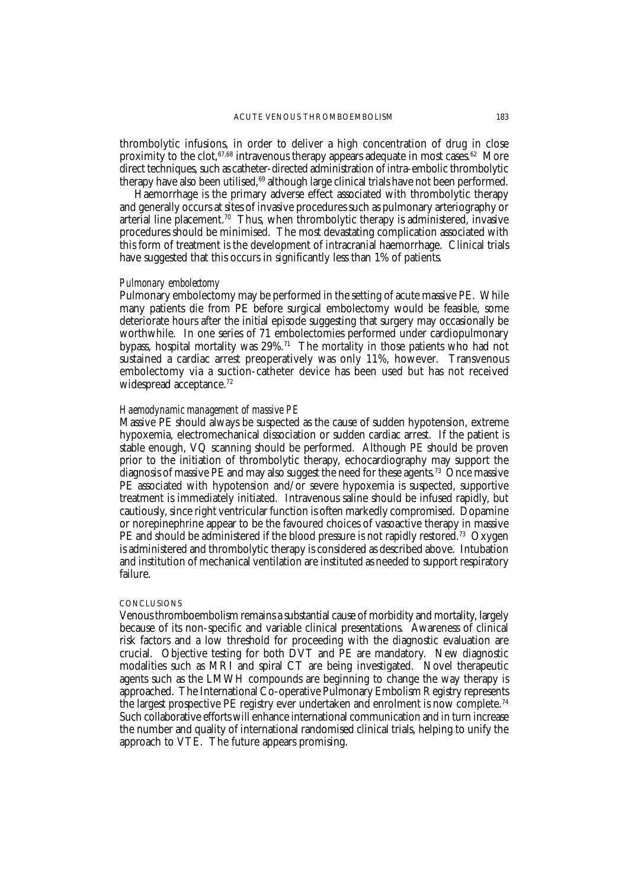thrombolytic infusions, in order to deliver a high concentration of drug in close proximity to the clot,  $67,68$  intravenous therapy appears adequate in most cases.  $62$  More direct techniques, such as catheter-directed administration of intra-embolic thrombolytic therapy have also been utilised,<sup>69</sup> although large clinical trials have not been performed.

Haemorrhage is the primary adverse effect associated with thrombolytic therapy and generally occurs at sites of invasive procedures such as pulmonary arteriography or arterial line placement.<sup>70</sup> Thus, when thrombolytic therapy is administered, invasive procedures should be minimised. The most devastating complication associated with this form of treatment is the development of intracranial haemorrhage. Clinical trials have suggested that this occurs in significantly less than 1% of patients.

### *Pulmonary embolectomy*

Pulmonary embolectomy may be performed in the setting of acute massive PE. While many patients die from PE before surgical embolectomy would be feasible, some deteriorate hours after the initial episode suggesting that surgery may occasionally be worthwhile. In one series of 71 embolectomies performed under cardiopulmonary bypass, hospital mortality was  $29\%$ <sup>71</sup> The mortality in those patients who had not sustained a cardiac arrest preoperatively was only 11%, however. Transvenous embolectomy via a suction-catheter device has been used but has not received widespread acceptance.<sup>72</sup>

## *Haemodynamic management of massive PE*

Massive PE should always be suspected as the cause of sudden hypotension, extreme hypoxemia, electromechanical dissociation or sudden cardiac arrest. If the patient is stable enough, VQ scanning should be performed. Although PE should be proven prior to the initiation of thrombolytic therapy, echocardiography may support the diagnosis of massive PE and may also suggest the need for these agents.73 Once massive PE associated with hypotension and/or severe hypoxemia is suspected, supportive treatment is immediately initiated. Intravenous saline should be infused rapidly, but cautiously, since right ventricular function is often markedly compromised. Dopamine or norepinephrine appear to be the favoured choices of vasoactive therapy in massive PE and should be administered if the blood pressure is not rapidly restored.<sup>73</sup> Oxygen is administered and thrombolytic therapy is considered as described above. Intubation and institution of mechanical ventilation are instituted as needed to support respiratory failure.

### **CONCLUSIONS**

Venous thromboembolism remains a substantial cause of morbidity and mortality, largely because of its non-specific and variable clinical presentations. Awareness of clinical risk factors and a low threshold for proceeding with the diagnostic evaluation are crucial. Objective testing for both DVT and PE are mandatory. New diagnostic modalities such as MRI and spiral CT are being investigated. Novel therapeutic agents such as the LMWH compounds are beginning to change the way therapy is approached. The International Co-operative Pulmonary Embolism Registry represents the largest prospective PE registry ever undertaken and enrolment is now complete.<sup>74</sup> Such collaborative efforts will enhance international communication and in turn increase the number and quality of international randomised clinical trials, helping to unify the approach to VTE. The future appears promising.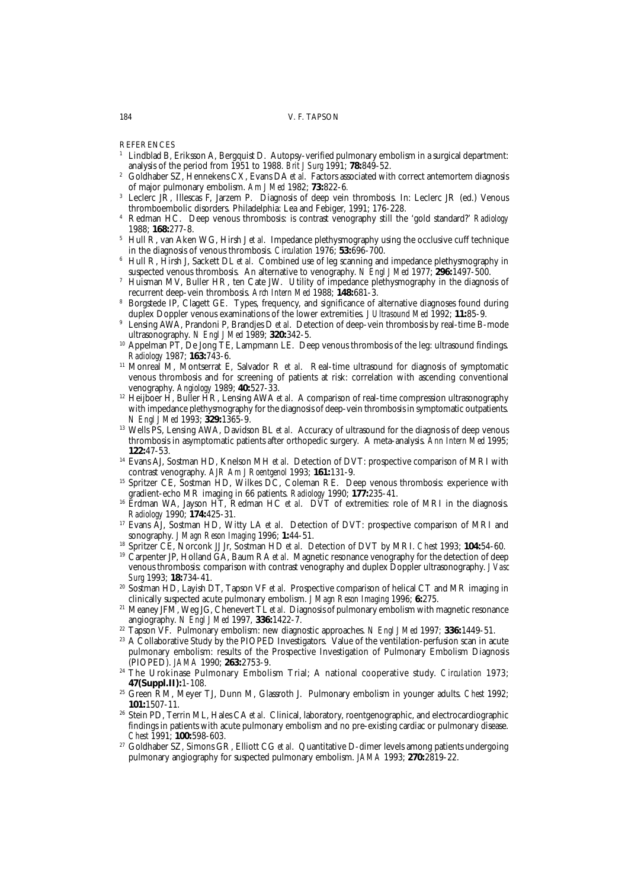#### 184 V. F. TAPSON

**REFERENCES** 

- <sup>1</sup> Lindblad B, Eriksson A, Bergquist D. Autopsy-verified pulmonary embolism in a surgical department: analysis of the period from 1951 to 1988. *Brit J Surg* 1991; **78:**849-52.
- <sup>2</sup> Goldhaber SZ, Hennekens CX, Evans DA *et al*. Factors associated with correct antemortem diagnosis of major pulmonary embolism. *Am J Med* 1982; **73:**822-6*.*
- <sup>3</sup> Leclerc JR, Illescas F, Jarzem P. Diagnosis of deep vein thrombosis. In: Leclerc JR (ed.) Venous thromboembolic disorders. Philadelphia: Lea and Febiger, 1991; 176-228.
- <sup>4</sup> Redman HC. Deep venous thrombosis: is contrast venography still the 'gold standard?' *Radiology* 1988; **168:**277-8.
- <sup>5</sup> Hull R, van Aken WG, Hirsh J *et al*. Impedance plethysmography using the occlusive cuff technique in the diagnosis of venous thrombosis. *Circulation* 1976; **53:**696-700.
- <sup>6</sup> Hull R, Hirsh J, Sackett DL *et al*. Combined use of leg scanning and impedance plethysmography in suspected venous thrombosis. An alternative to venography. *N Engl J Med* 1977; **296:**1497-500.
- <sup>7</sup> Huisman MV, Buller HR, ten Cate JW. Utility of impedance plethysmography in the diagnosis of recurrent deep-vein thrombosis. *Arch Intern Med* 1988; **148:**681-3.
- <sup>8</sup> Borgstede IP, Clagett GE. Types, frequency, and significance of alternative diagnoses found during duplex Doppler venous examinations of the lower extremities. *J Ultrasound Med* 1992; **11:**85-9.
- Lensing AWA, Prandoni P, Brandjes D *et al.* Detection of deep-vein thrombosis by real-time B-mode ultrasonography. *N Engl J Med* 1989; **320:**342-5.
- <sup>10</sup> Appelman PT, De Jong TE, Lampmann LE. Deep venous thrombosis of the leg: ultrasound findings. *Radiology* 1987; **163:**743-6.
- <sup>11</sup> Monreal M, Montserrat E, Salvador R *et al*. Real-time ultrasound for diagnosis of symptomatic venous thrombosis and for screening of patients at risk: correlation with ascending conventional venography. *Angiology* 1989; **40:**527-33.
- <sup>12</sup> Heijboer H, Buller HR, Lensing AWA *et al.* A comparison of real-time compression ultrasonography with impedance plethysmography for the diagnosis of deep-vein thrombosis in symptomatic outpatients. *N Engl J Med* 1993; **329:**1365-9.
- <sup>13</sup> Wells PS, Lensing AWA, Davidson BL *et al.* Accuracy of ultrasound for the diagnosis of deep venous thrombosis in asymptomatic patients after orthopedic surgery. A meta-analysis. *Ann Intern Med* 1995; **122:**47-53.
- <sup>14</sup> Evans AJ, Sostman HD, Knelson MH *et al*. Detection of DVT: prospective comparison of MRI with contrast venography. *AJR Am J Roentgenol* 1993; **161:**131-9.
- <sup>15</sup> Spritzer CE, Sostman HD, Wilkes DC, Coleman RE. Deep venous thrombosis: experience with gradient-echo MR imaging in 66 patients. *Radiology* 1990; **177:**235-41.
- <sup>16</sup> Erdman WA, Jayson HT, Redman HC *et al*. DVT of extremities: role of MRI in the diagnosis. *Radiology* 1990; **174:**425-31.
- <sup>17</sup> Evans AJ, Sostman HD, Witty LA *et al*. Detection of DVT: prospective comparison of MRI and sonography. *J Magn Reson Imaging* 1996; **1:**44-51.
- <sup>18</sup> Spritzer CE, Norconk JJ Jr, Sostman HD *et al*. Detection of DVT by MRI. *Chest* 1993; **104:**54-60.
- <sup>19</sup> Carpenter JP, Holland GA, Baum RA *et al*. Magnetic resonance venography for the detection of deep venous thrombosis: comparison with contrast venography and duplex Doppler ultrasonography. *J Vasc Surg* 1993; **18:**734-41.
- <sup>20</sup> Sostman HD, Layish DT, Tapson VF *et al*. Prospective comparison of helical CT and MR imaging in clinically suspected acute pulmonary embolism. *J Magn Reson Imaging* 1996; **6:**275.
- <sup>21</sup> Meaney JFM, Weg JG, Chenevert TL *et al*. Diagnosis of pulmonary embolism with magnetic resonance angiography. *N Engl J Med* 1997, **336:**1422-7.
- <sup>22</sup> Tapson VF. Pulmonary embolism: new diagnostic approaches. *N Engl J Med* 1997*;* **336:**1449-51.
- <sup>23</sup> A Collaborative Study by the PIOPED Investigators. Value of the ventilation-perfusion scan in acute pulmonary embolism: results of the Prospective Investigation of Pulmonary Embolism Diagnosis (PIOPED). *JAMA* 1990; **263:**2753-9.
- <sup>24</sup> The Urokinase Pulmonary Embolism Trial; A national cooperative study. *Circulation* 1973; **47(Suppl.II):**1-108.
- <sup>25</sup> Green RM, Meyer TJ, Dunn M, Glassroth J. Pulmonary embolism in younger adults. *Chest* 1992; **101:**1507-11.
- <sup>26</sup> Stein PD, Terrin ML, Hales CA *et al*. Clinical, laboratory, roentgenographic, and electrocardiographic findings in patients with acute pulmonary embolism and no pre-existing cardiac or pulmonary disease. *Chest* 1991; **100:**598-603.
- <sup>27</sup> Goldhaber SZ, Simons GR, Elliott CG *et al*. Quantitative D-dimer levels among patients undergoing pulmonary angiography for suspected pulmonary embolism. *JAMA* 1993; **270:**2819-22.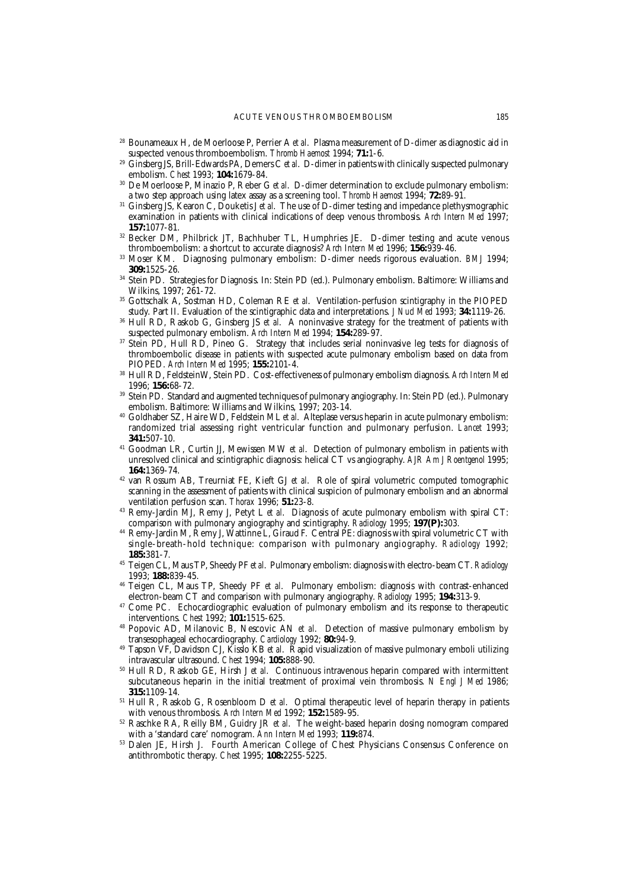- <sup>28</sup> Bounameaux H, de Moerloose P, Perrier A *et al*. Plasma measurement of D-dimer as diagnostic aid in suspected venous thromboembolism. *Thromb Haemost* 1994; **71:**1-6.
- <sup>29</sup> Ginsberg JS, Brill-Edwards PA, Demers C *et al*. D-dimer in patients with clinically suspected pulmonary embolism. *Chest* 1993; **104:**1679-84.
- <sup>30</sup> De Moerloose P, Minazio P, Reber G *et al*. D-dimer determination to exclude pulmonary embolism: a two step approach using latex assay as a screening tool. *Thromb Haemost* 1994; **72:**89-91.
- <sup>31</sup> Ginsberg JS, Kearon C, Douketis J *et al*. The use of D-dimer testing and impedance plethysmographic examination in patients with clinical indications of deep venous thrombosis. *Arch Intern Med* 1997; **157:**1077-81.
- <sup>32</sup> Becker DM, Philbrick JT, Bachhuber TL, Humphries JE. D-dimer testing and acute venous thromboembolism: a shortcut to accurate diagnosis? *Arch Intern Med* 1996; **156:**939-46.
- <sup>33</sup> Moser KM. Diagnosing pulmonary embolism: D-dimer needs rigorous evaluation. *BMJ* 1994; **309:**1525-26.
- <sup>34</sup> Stein PD. Strategies for Diagnosis. In: Stein PD (ed.). Pulmonary embolism. Baltimore: Williams and Wilkins, 1997; 261-72.
- <sup>35</sup> Gottschalk A, Sostman HD, Coleman RE *et al*. Ventilation-perfusion scintigraphy in the PIOPED study. Part II. Evaluation of the scintigraphic data and interpretations. *J Nucl Med* 1993; **34:**1119-26.
- <sup>36</sup> Hull RD, Raskob G, Ginsberg JS *et al*. A noninvasive strategy for the treatment of patients with suspected pulmonary embolism. *Arch Intern Med* 1994; **154:**289-97.
- <sup>37</sup> Stein PD, Hull RD, Pineo G. Strategy that includes serial noninvasive leg tests for diagnosis of thromboembolic disease in patients with suspected acute pulmonary embolism based on data from PIOPED. *Arch Intern Med* 1995; **155:**2101-4.
- <sup>38</sup> Hull RD, FeldsteinW, Stein PD. Cost-effectiveness of pulmonary embolism diagnosis. *Arch Intern Med* 1996; **156:**68-72.
- <sup>39</sup> Stein PD. Standard and augmented techniques of pulmonary angiography. In: Stein PD (ed.). Pulmonary embolism. Baltimore: Williams and Wilkins, 1997; 203-14.
- <sup>40</sup> Goldhaber SZ, Haire WD, Feldstein ML *et al*. Alteplase versus heparin in acute pulmonary embolism: randomized trial assessing right ventricular function and pulmonary perfusion. *Lancet* 1993; **341:**507-10.
- <sup>41</sup> Goodman LR, Curtin JJ, Mewissen MW *et al*. Detection of pulmonary embolism in patients with unresolved clinical and scintigraphic diagnosis: helical CT vs angiography. *AJR Am J Roentgenol* 1995; **164:**1369-74.
- <sup>42</sup> van Rossum AB, Treurniat FE, Kieft GJ *et al*. Role of spiral volumetric computed tomographic scanning in the assessment of patients with clinical suspicion of pulmonary embolism and an abnormal ventilation perfusion scan. *Thorax* 1996; **51:**23-8.
- <sup>43</sup> Remy-Jardin MJ, Remy J, Petyt L *et al*. Diagnosis of acute pulmonary embolism with spiral CT: comparison with pulmonary angiography and scintigraphy. *Radiology* 1995; **197(P):**303.
- <sup>44</sup> Remy-Jardin M, Remy J, Wattinne L, Giraud F. Central PE: diagnosis with spiral volumetric CT with single-breath-hold technique: comparison with pulmonary angiography. *Radiology* 1992*;* **185:**381-7.
- <sup>45</sup> Teigen CL, Maus TP, Sheedy PF *et al*. Pulmonary embolism: diagnosis with electro-beam CT. *Radiology* 1993; **188:**839-45.
- <sup>46</sup> Teigen CL, Maus TP, Sheedy PF *et al*. Pulmonary embolism: diagnosis with contrast-enhanced electron-beam CT and comparison with pulmonary angiography. *Radiology* 1995; **194:**313-9.
- <sup>47</sup> Come PC. Echocardiographic evaluation of pulmonary embolism and its response to therapeutic interventions. *Chest* 1992; **101:**1515-625.
- <sup>48</sup> Popovic AD, Milanovic B, Nescovic AN *et al*. Detection of massive pulmonary embolism by transesophageal echocardiography. *Cardiology* 1992; **80:**94-9.
- <sup>49</sup> Tapson VF, Davidson CJ, Kisslo KB et al. Rapid visualization of massive pulmonary emboli utilizing intravascular ultrasound. *Chest* 1994; **105:**888-90.
- <sup>50</sup> Hull RD, Raskob GE, Hirsh J *et al*. Continuous intravenous heparin compared with intermittent subcutaneous heparin in the initial treatment of proximal vein thrombosis. *N Engl J Med* 1986; **315:**1109-14.
- <sup>51</sup> Hull R, Raskob G, Rosenbloom D *et al*. Optimal therapeutic level of heparin therapy in patients with venous thrombosis. *Arch Intern Med* 1992; **152:**1589-95.
- <sup>52</sup> Raschke RA, Reilly BM, Guidry JR *et al*. The weight-based heparin dosing nomogram compared with a 'standard care' nomogram. *Ann Intern Med* 1993; **119:**874.
- <sup>53</sup> Dalen JE, Hirsh J. Fourth American College of Chest Physicians Consensus Conference on antithrombotic therapy. *Chest* 1995; **108:**2255-5225.